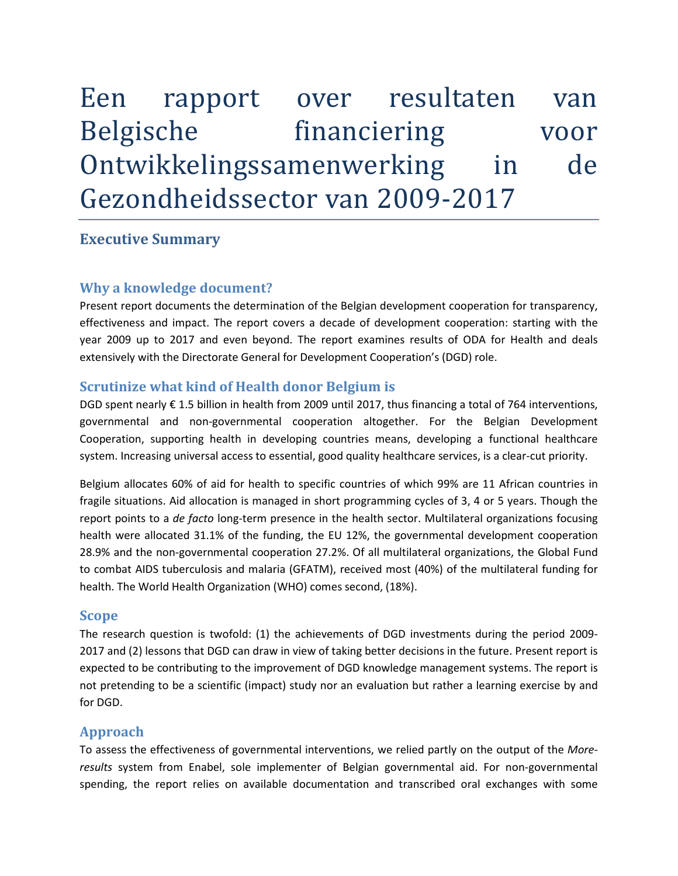# Een rapport over resultaten van Belgische financiering voor Ontwikkelingssamenwerking in de Gezondheidssector van 2009-2017

### **Executive Summary**

#### **Why a knowledge document?**

Present report documents the determination of the Belgian development cooperation for transparency, effectiveness and impact. The report covers a decade of development cooperation: starting with the year 2009 up to 2017 and even beyond. The report examines results of ODA for Health and deals extensively with the Directorate General for Development Cooperation's (DGD) role.

#### **Scrutinize what kind of Health donor Belgium is**

DGD spent nearly € 1.5 billion in health from 2009 until 2017, thus financing a total of 764 interventions, governmental and non-governmental cooperation altogether. For the Belgian Development Cooperation, supporting health in developing countries means, developing a functional healthcare system. Increasing universal access to essential, good quality healthcare services, is a clear-cut priority.

Belgium allocates 60% of aid for health to specific countries of which 99% are 11 African countries in fragile situations. Aid allocation is managed in short programming cycles of 3, 4 or 5 years. Though the report points to a *de facto* long-term presence in the health sector. Multilateral organizations focusing health were allocated 31.1% of the funding, the EU 12%, the governmental development cooperation 28.9% and the non-governmental cooperation 27.2%. Of all multilateral organizations, the Global Fund to combat AIDS tuberculosis and malaria (GFATM), received most (40%) of the multilateral funding for health. The World Health Organization (WHO) comes second, (18%).

#### **Scope**

The research question is twofold: (1) the achievements of DGD investments during the period 2009- 2017 and (2) lessons that DGD can draw in view of taking better decisions in the future. Present report is expected to be contributing to the improvement of DGD knowledge management systems. The report is not pretending to be a scientific (impact) study nor an evaluation but rather a learning exercise by and for DGD.

#### **Approach**

To assess the effectiveness of governmental interventions, we relied partly on the output of the *Moreresults* system from Enabel, sole implementer of Belgian governmental aid. For non-governmental spending, the report relies on available documentation and transcribed oral exchanges with some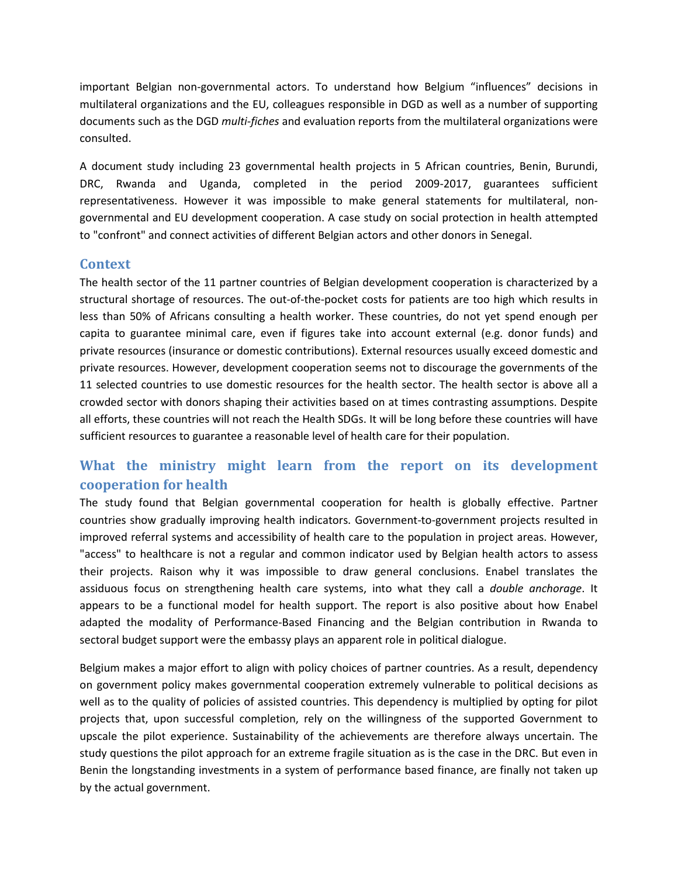important Belgian non-governmental actors. To understand how Belgium "influences" decisions in multilateral organizations and the EU, colleagues responsible in DGD as well as a number of supporting documents such as the DGD *multi-fiches* and evaluation reports from the multilateral organizations were consulted.

A document study including 23 governmental health projects in 5 African countries, Benin, Burundi, DRC, Rwanda and Uganda, completed in the period 2009-2017, guarantees sufficient representativeness. However it was impossible to make general statements for multilateral, nongovernmental and EU development cooperation. A case study on social protection in health attempted to "confront" and connect activities of different Belgian actors and other donors in Senegal.

#### **Context**

The health sector of the 11 partner countries of Belgian development cooperation is characterized by a structural shortage of resources. The out-of-the-pocket costs for patients are too high which results in less than 50% of Africans consulting a health worker. These countries, do not yet spend enough per capita to guarantee minimal care, even if figures take into account external (e.g. donor funds) and private resources (insurance or domestic contributions). External resources usually exceed domestic and private resources. However, development cooperation seems not to discourage the governments of the 11 selected countries to use domestic resources for the health sector. The health sector is above all a crowded sector with donors shaping their activities based on at times contrasting assumptions. Despite all efforts, these countries will not reach the Health SDGs. It will be long before these countries will have sufficient resources to guarantee a reasonable level of health care for their population.

## **What the ministry might learn from the report on its development cooperation for health**

The study found that Belgian governmental cooperation for health is globally effective. Partner countries show gradually improving health indicators. Government-to-government projects resulted in improved referral systems and accessibility of health care to the population in project areas. However, "access" to healthcare is not a regular and common indicator used by Belgian health actors to assess their projects. Raison why it was impossible to draw general conclusions. Enabel translates the assiduous focus on strengthening health care systems, into what they call a *double anchorage*. It appears to be a functional model for health support. The report is also positive about how Enabel adapted the modality of Performance-Based Financing and the Belgian contribution in Rwanda to sectoral budget support were the embassy plays an apparent role in political dialogue.

Belgium makes a major effort to align with policy choices of partner countries. As a result, dependency on government policy makes governmental cooperation extremely vulnerable to political decisions as well as to the quality of policies of assisted countries. This dependency is multiplied by opting for pilot projects that, upon successful completion, rely on the willingness of the supported Government to upscale the pilot experience. Sustainability of the achievements are therefore always uncertain. The study questions the pilot approach for an extreme fragile situation as is the case in the DRC. But even in Benin the longstanding investments in a system of performance based finance, are finally not taken up by the actual government.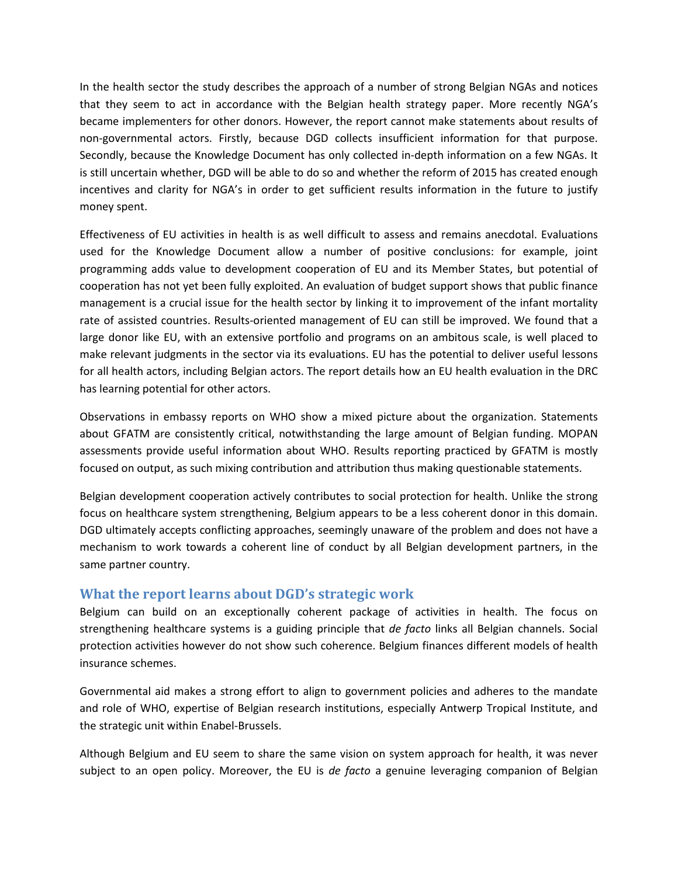In the health sector the study describes the approach of a number of strong Belgian NGAs and notices that they seem to act in accordance with the Belgian health strategy paper. More recently NGA's became implementers for other donors. However, the report cannot make statements about results of non-governmental actors. Firstly, because DGD collects insufficient information for that purpose. Secondly, because the Knowledge Document has only collected in-depth information on a few NGAs. It is still uncertain whether, DGD will be able to do so and whether the reform of 2015 has created enough incentives and clarity for NGA's in order to get sufficient results information in the future to justify money spent.

Effectiveness of EU activities in health is as well difficult to assess and remains anecdotal. Evaluations used for the Knowledge Document allow a number of positive conclusions: for example, joint programming adds value to development cooperation of EU and its Member States, but potential of cooperation has not yet been fully exploited. An evaluation of budget support shows that public finance management is a crucial issue for the health sector by linking it to improvement of the infant mortality rate of assisted countries. Results-oriented management of EU can still be improved. We found that a large donor like EU, with an extensive portfolio and programs on an ambitous scale, is well placed to make relevant judgments in the sector via its evaluations. EU has the potential to deliver useful lessons for all health actors, including Belgian actors. The report details how an EU health evaluation in the DRC has learning potential for other actors.

Observations in embassy reports on WHO show a mixed picture about the organization. Statements about GFATM are consistently critical, notwithstanding the large amount of Belgian funding. MOPAN assessments provide useful information about WHO. Results reporting practiced by GFATM is mostly focused on output, as such mixing contribution and attribution thus making questionable statements.

Belgian development cooperation actively contributes to social protection for health. Unlike the strong focus on healthcare system strengthening, Belgium appears to be a less coherent donor in this domain. DGD ultimately accepts conflicting approaches, seemingly unaware of the problem and does not have a mechanism to work towards a coherent line of conduct by all Belgian development partners, in the same partner country.

#### **What the report learns about DGD's strategic work**

Belgium can build on an exceptionally coherent package of activities in health. The focus on strengthening healthcare systems is a guiding principle that *de facto* links all Belgian channels. Social protection activities however do not show such coherence. Belgium finances different models of health insurance schemes.

Governmental aid makes a strong effort to align to government policies and adheres to the mandate and role of WHO, expertise of Belgian research institutions, especially Antwerp Tropical Institute, and the strategic unit within Enabel-Brussels.

Although Belgium and EU seem to share the same vision on system approach for health, it was never subject to an open policy. Moreover, the EU is *de facto* a genuine leveraging companion of Belgian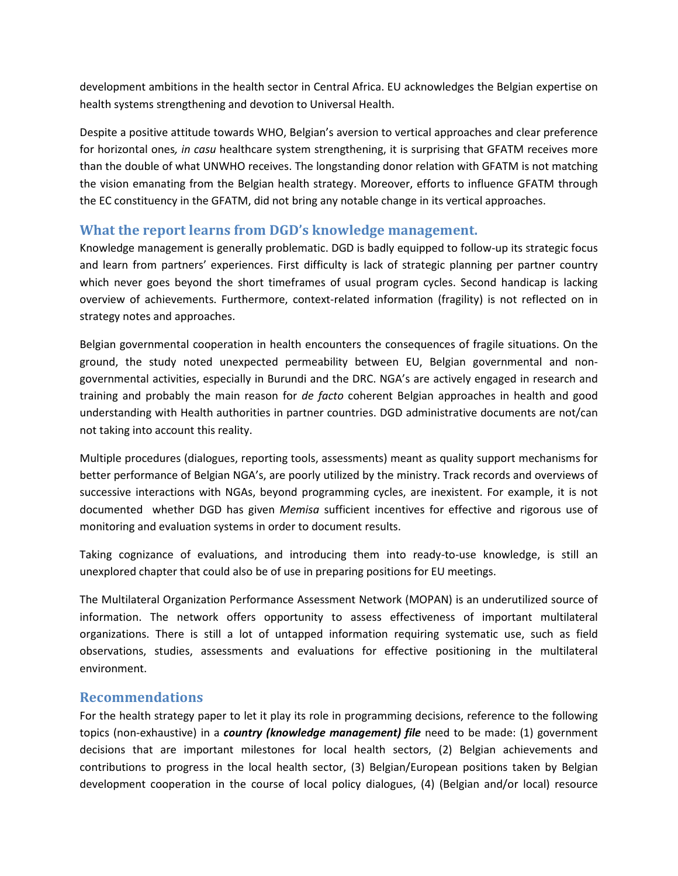development ambitions in the health sector in Central Africa. EU acknowledges the Belgian expertise on health systems strengthening and devotion to Universal Health.

Despite a positive attitude towards WHO, Belgian's aversion to vertical approaches and clear preference for horizontal ones*, in casu* healthcare system strengthening, it is surprising that GFATM receives more than the double of what UNWHO receives. The longstanding donor relation with GFATM is not matching the vision emanating from the Belgian health strategy. Moreover, efforts to influence GFATM through the EC constituency in the GFATM, did not bring any notable change in its vertical approaches.

#### **What the report learns from DGD's knowledge management.**

Knowledge management is generally problematic. DGD is badly equipped to follow-up its strategic focus and learn from partners' experiences. First difficulty is lack of strategic planning per partner country which never goes beyond the short timeframes of usual program cycles. Second handicap is lacking overview of achievements. Furthermore, context-related information (fragility) is not reflected on in strategy notes and approaches.

Belgian governmental cooperation in health encounters the consequences of fragile situations. On the ground, the study noted unexpected permeability between EU, Belgian governmental and nongovernmental activities, especially in Burundi and the DRC. NGA's are actively engaged in research and training and probably the main reason for *de facto* coherent Belgian approaches in health and good understanding with Health authorities in partner countries. DGD administrative documents are not/can not taking into account this reality.

Multiple procedures (dialogues, reporting tools, assessments) meant as quality support mechanisms for better performance of Belgian NGA's, are poorly utilized by the ministry. Track records and overviews of successive interactions with NGAs, beyond programming cycles, are inexistent. For example, it is not documented whether DGD has given *Memisa* sufficient incentives for effective and rigorous use of monitoring and evaluation systems in order to document results.

Taking cognizance of evaluations, and introducing them into ready-to-use knowledge, is still an unexplored chapter that could also be of use in preparing positions for EU meetings.

The Multilateral Organization Performance Assessment Network (MOPAN) is an underutilized source of information. The network offers opportunity to assess effectiveness of important multilateral organizations. There is still a lot of untapped information requiring systematic use, such as field observations, studies, assessments and evaluations for effective positioning in the multilateral environment.

#### **Recommendations**

For the health strategy paper to let it play its role in programming decisions, reference to the following topics (non-exhaustive) in a *country (knowledge management) file* need to be made: (1) government decisions that are important milestones for local health sectors, (2) Belgian achievements and contributions to progress in the local health sector, (3) Belgian/European positions taken by Belgian development cooperation in the course of local policy dialogues, (4) (Belgian and/or local) resource